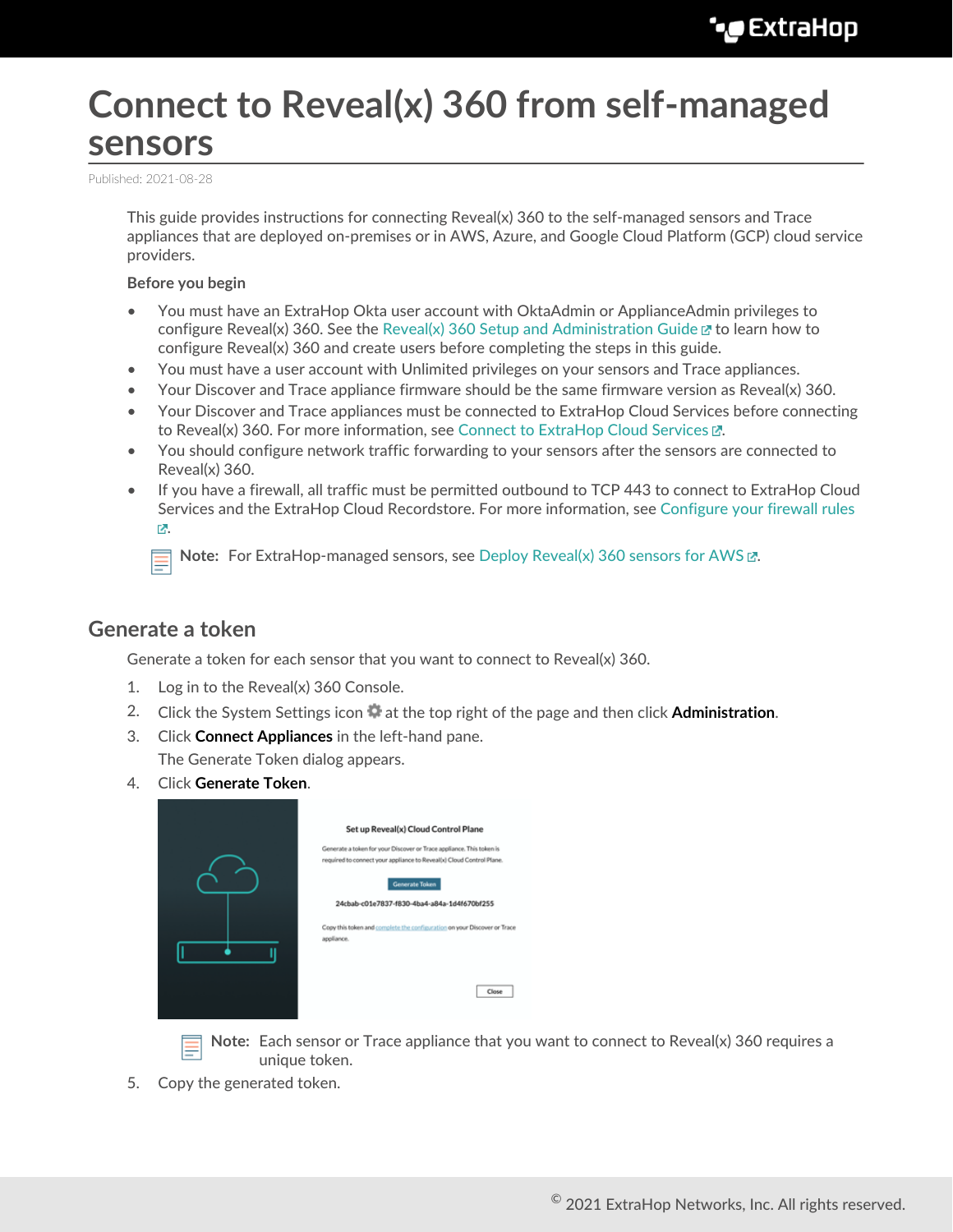# **Connect to Reveal(x) 360 from self-managed sensors**

Published: 2021-08-28

This guide provides instructions for connecting Reveal(x) 360 to the self-managed sensors and Trace appliances that are deployed on-premises or in AWS, Azure, and Google Cloud Platform (GCP) cloud service providers.

#### **Before you begin**

- You must have an ExtraHop Okta user account with OktaAdmin or ApplianceAdmin privileges to configure Reveal(x) 360. See the [Reveal\(x\) 360 Setup and Administration Guide](https://docs.extrahop.com/8.4/rx360-setup-admin)  $\mathbb E$  to learn how to configure Reveal(x) 360 and create users before completing the steps in this guide.
- You must have a user account with Unlimited privileges on your sensors and Trace appliances.
- Your Discover and Trace appliance firmware should be the same firmware version as Reveal(x) 360.
- Your Discover and Trace appliances must be connected to ExtraHop Cloud Services before connecting to Reveal(x) 360. For more information, see Connect to ExtraHop Cloud Services  $\mathbb{E}$ .
- You should configure network traffic forwarding to your sensors after the sensors are connected to Reveal(x) 360.
- If you have a firewall, all traffic must be permitted outbound to TCP 443 to connect to ExtraHop Cloud Services and the ExtraHop Cloud Recordstore. For more information, see [Configure your firewall rules](https://docs.extrahop.com/8.4/rx360-setup-admin/#configure-your-firewall-rules) [.](https://docs.extrahop.com/8.4/rx360-setup-admin/#configure-your-firewall-rules)

**Note:** For ExtraHop-managed sensors, see [Deploy Reveal\(x\) 360 sensors for AWS .](https://docs.extrahop.com/8.4/dep-360-aws)..

#### **Generate a token**

Generate a token for each sensor that you want to connect to Reveal(x) 360.

- 1. Log in to the Reveal(x) 360 Console.
- 2. Click the System Settings icon  $\ddot{\ddot{\psi}}$  at the top right of the page and then click **Administration**.
- 3. Click **Connect Appliances** in the left-hand pane.

The Generate Token dialog appears.

4. Click **Generate Token**.

|  | Set up Reveal(x) Cloud Control Plane                                                                                                         |
|--|----------------------------------------------------------------------------------------------------------------------------------------------|
|  | Generate a token for your Discover or Trace appliance. This token is<br>required to connect your appliance to Reveal(x) Cloud Control Plane. |
|  | <b>Generate Token</b>                                                                                                                        |
|  | 24cbab-c01e7837-f830-4ba4-a84a-1d4f670bf255                                                                                                  |
|  | Copy this token and complete the configuration on your Discover or Trace<br>appliance.                                                       |
|  |                                                                                                                                              |
|  |                                                                                                                                              |
|  | Close                                                                                                                                        |
|  |                                                                                                                                              |

**Note:** Each sensor or Trace appliance that you want to connect to Reveal(x) 360 requires a unique token.

5. Copy the generated token.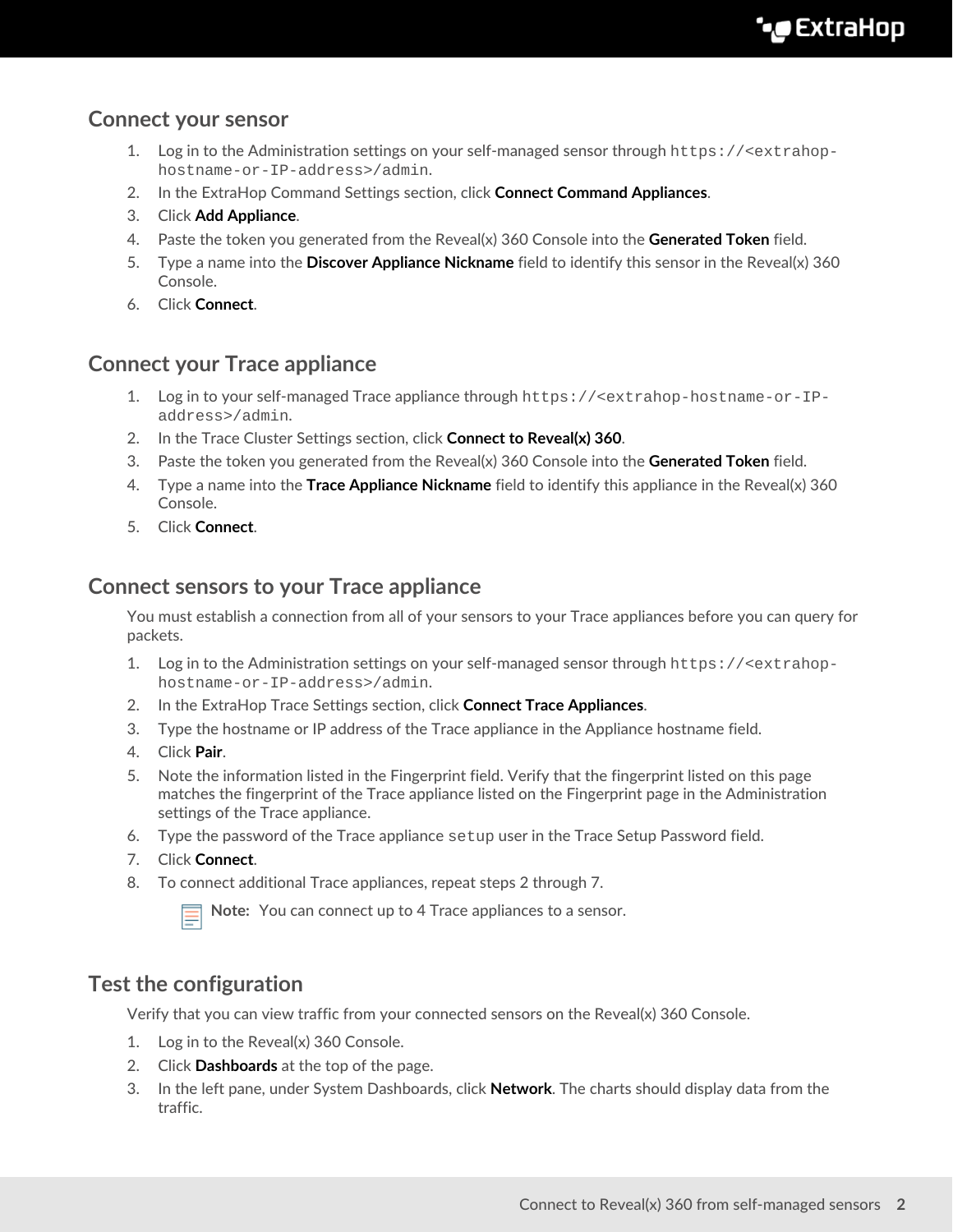#### **Connect your sensor**

- 1. Log in to the Administration settings on your self-managed sensor through https://<extrahophostname-or-IP-address>/admin.
- 2. In the ExtraHop Command Settings section, click **Connect Command Appliances**.
- 3. Click **Add Appliance**.
- 4. Paste the token you generated from the Reveal(x) 360 Console into the **Generated Token** field.
- 5. Type a name into the **Discover Appliance Nickname** field to identify this sensor in the Reveal(x) 360 Console.
- 6. Click **Connect**.

### **Connect your Trace appliance**

- 1. Log in to your self-managed Trace appliance through https://<extrahop-hostname-or-IPaddress>/admin.
- 2. In the Trace Cluster Settings section, click **Connect to Reveal(x) 360**.
- 3. Paste the token you generated from the Reveal(x) 360 Console into the **Generated Token** field.
- 4. Type a name into the **Trace Appliance Nickname** field to identify this appliance in the Reveal(x) 360 Console.
- 5. Click **Connect**.

#### **Connect sensors to your Trace appliance**

You must establish a connection from all of your sensors to your Trace appliances before you can query for packets.

- 1. Log in to the Administration settings on your self-managed sensor through https://<extrahophostname-or-IP-address>/admin.
- 2. In the ExtraHop Trace Settings section, click **Connect Trace Appliances**.
- 3. Type the hostname or IP address of the Trace appliance in the Appliance hostname field.
- 4. Click **Pair**.
- 5. Note the information listed in the Fingerprint field. Verify that the fingerprint listed on this page matches the fingerprint of the Trace appliance listed on the Fingerprint page in the Administration settings of the Trace appliance.
- 6. Type the password of the Trace appliance setup user in the Trace Setup Password field.
- 7. Click **Connect**.
- 8. To connect additional Trace appliances, repeat steps 2 through 7.

**Note:** You can connect up to 4 Trace appliances to a sensor.

#### **Test the configuration**

Verify that you can view traffic from your connected sensors on the Reveal(x) 360 Console.

- 1. Log in to the Reveal(x) 360 Console.
- 2. Click **Dashboards** at the top of the page.
- 3. In the left pane, under System Dashboards, click **Network**. The charts should display data from the traffic.